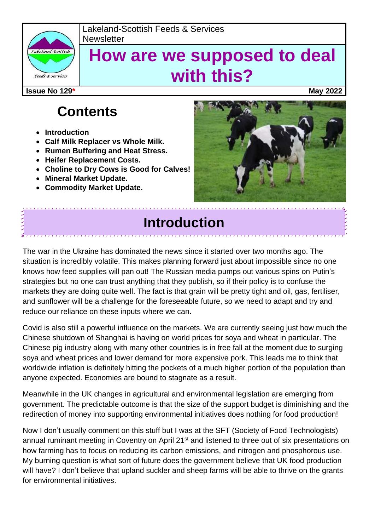

#### Lakeland-Scottish Feeds & Services **Newsletter**

# **How are we supposed to deal with this?**

**Issue No 129\* May 2022**

## **Contents**

- **Introduction**
- **Calf Milk Replacer vs Whole Milk.**
- **Rumen Buffering and Heat Stress.**
- **Heifer Replacement Costs.**
- **Choline to Dry Cows is Good for Calves!**
- **Mineral Market Update.**
- **Commodity Market Update.**



### **Introduction**

The war in the Ukraine has dominated the news since it started over two months ago. The situation is incredibly volatile. This makes planning forward just about impossible since no one knows how feed supplies will pan out! The Russian media pumps out various spins on Putin's strategies but no one can trust anything that they publish, so if their policy is to confuse the markets they are doing quite well. The fact is that grain will be pretty tight and oil, gas, fertiliser, and sunflower will be a challenge for the foreseeable future, so we need to adapt and try and reduce our reliance on these inputs where we can.

Covid is also still a powerful influence on the markets. We are currently seeing just how much the Chinese shutdown of Shanghai is having on world prices for soya and wheat in particular. The Chinese pig industry along with many other countries is in free fall at the moment due to surging soya and wheat prices and lower demand for more expensive pork. This leads me to think that worldwide inflation is definitely hitting the pockets of a much higher portion of the population than anyone expected. Economies are bound to stagnate as a result.

Meanwhile in the UK changes in agricultural and environmental legislation are emerging from government. The predictable outcome is that the size of the support budget is diminishing and the redirection of money into supporting environmental initiatives does nothing for food production!

Now I don't usually comment on this stuff but I was at the SFT (Society of Food Technologists) annual ruminant meeting in Coventry on April 21<sup>st</sup> and listened to three out of six presentations on how farming has to focus on reducing its carbon emissions, and nitrogen and phosphorous use. My burning question is what sort of future does the government believe that UK food production will have? I don't believe that upland suckler and sheep farms will be able to thrive on the grants for environmental initiatives.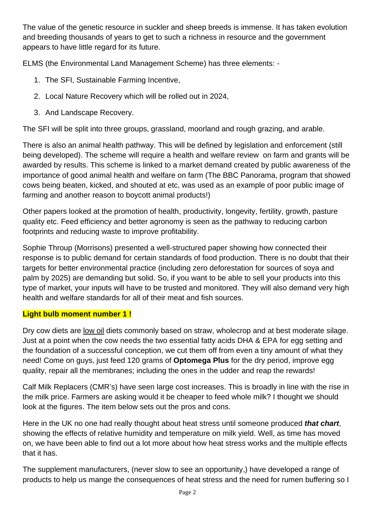The value of the genetic resource in suckler and sheep breeds is immense. It has taken evolution and breeding thousands of years to get to such a richness in resource and the government appears to have little regard for its future.

ELMS (the Environmental Land Management Scheme) has three elements: -

- 1. The SFI, Sustainable Farming Incentive,
- 2. Local Nature Recovery which will be rolled out in 2024,
- 3. And Landscape Recovery.

The SFI will be split into three groups, grassland, moorland and rough grazing, and arable.

There is also an animal health pathway. This will be defined by legislation and enforcement (still being developed). The scheme will require a health and welfare review on farm and grants will be awarded by results. This scheme is linked to a market demand created by public awareness of the importance of good animal health and welfare on farm (The BBC Panorama, program that showed cows being beaten, kicked, and shouted at etc, was used as an example of poor public image of farming and another reason to boycott animal products!)

Other papers looked at the promotion of health, productivity, longevity, fertility, growth, pasture quality etc. Feed efficiency and better agronomy is seen as the pathway to reducing carbon footprints and reducing waste to improve profitability.

Sophie Throup (Morrisons) presented a well-structured paper showing how connected their response is to public demand for certain standards of food production. There is no doubt that their targets for better environmental practice (including zero deforestation for sources of soya and palm by 2025) are demanding but solid. So, if you want to be able to sell your products into this type of market, your inputs will have to be trusted and monitored. They will also demand very high health and welfare standards for all of their meat and fish sources.

#### **Light bulb moment number 1 !**

Dry cow diets are low oil diets commonly based on straw, wholecrop and at best moderate silage. Just at a point when the cow needs the two essential fatty acids DHA & EPA for egg setting and the foundation of a successful conception, we cut them off from even a tiny amount of what they need! Come on guys, just feed 120 grams of **Optomega Plus** for the dry period, improve egg quality, repair all the membranes; including the ones in the udder and reap the rewards!

Calf Milk Replacers (CMR's) have seen large cost increases. This is broadly in line with the rise in the milk price. Farmers are asking would it be cheaper to feed whole milk? I thought we should look at the figures. The item below sets out the pros and cons.

Here in the UK no one had really thought about heat stress until someone produced *that chart*, showing the effects of relative humidity and temperature on milk yield. Well, as time has moved on, we have been able to find out a lot more about how heat stress works and the multiple effects that it has.

The supplement manufacturers, (never slow to see an opportunity,) have developed a range of products to help us mange the consequences of heat stress and the need for rumen buffering so I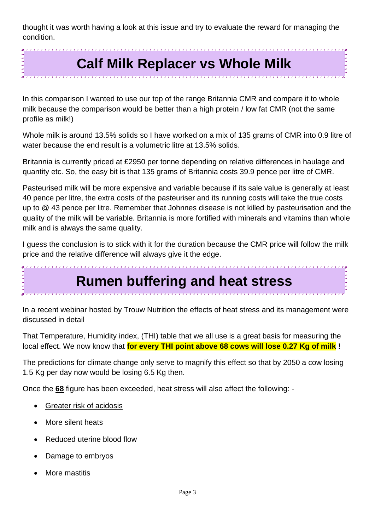thought it was worth having a look at this issue and try to evaluate the reward for managing the condition.

## **Calf Milk Replacer vs Whole Milk**

In this comparison I wanted to use our top of the range Britannia CMR and compare it to whole milk because the comparison would be better than a high protein / low fat CMR (not the same profile as milk!)

Whole milk is around 13.5% solids so I have worked on a mix of 135 grams of CMR into 0.9 litre of water because the end result is a volumetric litre at 13.5% solids.

Britannia is currently priced at £2950 per tonne depending on relative differences in haulage and quantity etc. So, the easy bit is that 135 grams of Britannia costs 39.9 pence per litre of CMR.

Pasteurised milk will be more expensive and variable because if its sale value is generally at least 40 pence per litre, the extra costs of the pasteuriser and its running costs will take the true costs up to @ 43 pence per litre. Remember that Johnnes disease is not killed by pasteurisation and the quality of the milk will be variable. Britannia is more fortified with minerals and vitamins than whole milk and is always the same quality.

I guess the conclusion is to stick with it for the duration because the CMR price will follow the milk price and the relative difference will always give it the edge.

## **Rumen buffering and heat stress**

In a recent webinar hosted by Trouw Nutrition the effects of heat stress and its management were discussed in detail

That Temperature, Humidity index, (THI) table that we all use is a great basis for measuring the local effect. We now know that **for every THI point above 68 cows will lose 0.27 Kg of milk !**

The predictions for climate change only serve to magnify this effect so that by 2050 a cow losing 1.5 Kg per day now would be losing 6.5 Kg then.

Once the **68** figure has been exceeded, heat stress will also affect the following: -

- Greater risk of acidosis
- More silent heats
- Reduced uterine blood flow
- Damage to embryos
- More mastitis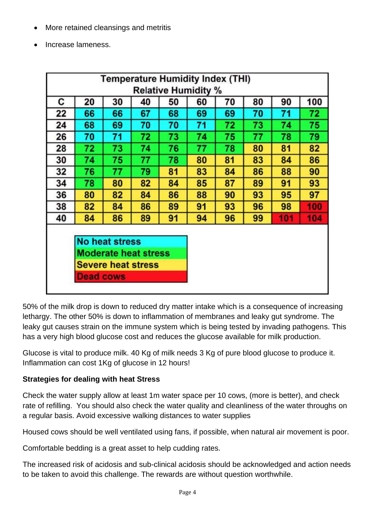- More retained cleansings and metritis
- Increase lameness.

| <b>Temperature Humidity Index (THI)</b> |                                                                              |                       |    |    |    |    |    |     |     |  |
|-----------------------------------------|------------------------------------------------------------------------------|-----------------------|----|----|----|----|----|-----|-----|--|
| <b>Relative Humidity %</b>              |                                                                              |                       |    |    |    |    |    |     |     |  |
| С                                       | 20                                                                           | 30                    | 40 | 50 | 60 | 70 | 80 | 90  | 100 |  |
| 22                                      | 66                                                                           | 66                    | 67 | 68 | 69 | 69 | 70 | 71  | 72  |  |
| 24                                      | 68                                                                           | 69                    | 70 | 70 | 71 | 72 | 73 | 74  | 75  |  |
| 26                                      | 70                                                                           | 71                    | 72 | 73 | 74 | 75 | 77 | 78  | 79  |  |
| 28                                      | 72                                                                           | 73                    | 74 | 76 | 77 | 78 | 80 | 81  | 82  |  |
| 30                                      | 74                                                                           | 75                    | 77 | 78 | 80 | 81 | 83 | 84  | 86  |  |
| 32                                      | 76                                                                           | 77                    | 79 | 81 | 83 | 84 | 86 | 88  | 90  |  |
| 34                                      | 78                                                                           | 80                    | 82 | 84 | 85 | 87 | 89 | 91  | 93  |  |
| 36                                      | 80                                                                           | 82                    | 84 | 86 | 88 | 90 | 93 | 95  | 97  |  |
| 38                                      | 82                                                                           | 84                    | 86 | 89 | 91 | 93 | 96 | 98  | 100 |  |
| 40                                      | 84                                                                           | 86                    | 89 | 91 | 94 | 96 | 99 | 101 | 104 |  |
|                                         |                                                                              |                       |    |    |    |    |    |     |     |  |
|                                         |                                                                              | <b>No heat stress</b> |    |    |    |    |    |     |     |  |
|                                         | <b>Moderate heat stress</b><br><b>Severe heat stress</b><br><b>Dead cows</b> |                       |    |    |    |    |    |     |     |  |
|                                         |                                                                              |                       |    |    |    |    |    |     |     |  |
|                                         |                                                                              |                       |    |    |    |    |    |     |     |  |
|                                         |                                                                              |                       |    |    |    |    |    |     |     |  |

50% of the milk drop is down to reduced dry matter intake which is a consequence of increasing lethargy. The other 50% is down to inflammation of membranes and leaky gut syndrome. The leaky gut causes strain on the immune system which is being tested by invading pathogens. This has a very high blood glucose cost and reduces the glucose available for milk production.

Glucose is vital to produce milk. 40 Kg of milk needs 3 Kg of pure blood glucose to produce it. Inflammation can cost 1Kg of glucose in 12 hours!

#### **Strategies for dealing with heat Stress**

Check the water supply allow at least 1m water space per 10 cows, (more is better), and check rate of refilling. You should also check the water quality and cleanliness of the water throughs on a regular basis. Avoid excessive walking distances to water supplies

Housed cows should be well ventilated using fans, if possible, when natural air movement is poor.

Comfortable bedding is a great asset to help cudding rates.

The increased risk of acidosis and sub-clinical acidosis should be acknowledged and action needs to be taken to avoid this challenge. The rewards are without question worthwhile.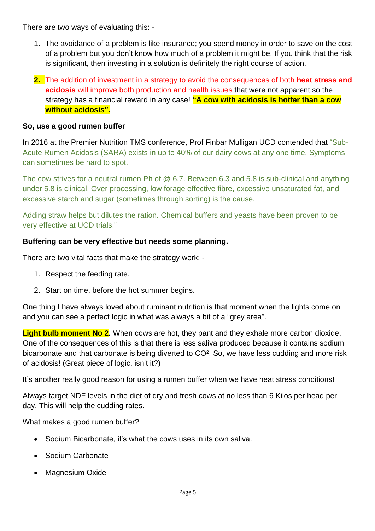There are two ways of evaluating this: -

- 1. The avoidance of a problem is like insurance; you spend money in order to save on the cost of a problem but you don't know how much of a problem it might be! If you think that the risk is significant, then investing in a solution is definitely the right course of action.
- **2.** The addition of investment in a strategy to avoid the consequences of both **heat stress and acidosis** will improve both production and health issues that were not apparent so the strategy has a financial reward in any case! **"A cow with acidosis is hotter than a cow without acidosis".**

#### **So, use a good rumen buffer**

In 2016 at the Premier Nutrition TMS conference, Prof Finbar Mulligan UCD contended that "Sub-Acute Rumen Acidosis (SARA) exists in up to 40% of our dairy cows at any one time. Symptoms can sometimes be hard to spot.

The cow strives for a neutral rumen Ph of @ 6.7. Between 6.3 and 5.8 is sub-clinical and anything under 5.8 is clinical. Over processing, low forage effective fibre, excessive unsaturated fat, and excessive starch and sugar (sometimes through sorting) is the cause.

Adding straw helps but dilutes the ration. Chemical buffers and yeasts have been proven to be very effective at UCD trials."

#### **Buffering can be very effective but needs some planning.**

There are two vital facts that make the strategy work: -

- 1. Respect the feeding rate.
- 2. Start on time, before the hot summer begins.

One thing I have always loved about ruminant nutrition is that moment when the lights come on and you can see a perfect logic in what was always a bit of a "grey area".

L**ight bulb moment No 2.** When cows are hot, they pant and they exhale more carbon dioxide. One of the consequences of this is that there is less saliva produced because it contains sodium bicarbonate and that carbonate is being diverted to CO². So, we have less cudding and more risk of acidosis! (Great piece of logic, isn't it?)

It's another really good reason for using a rumen buffer when we have heat stress conditions!

Always target NDF levels in the diet of dry and fresh cows at no less than 6 Kilos per head per day. This will help the cudding rates.

What makes a good rumen buffer?

- Sodium Bicarbonate, it's what the cows uses in its own saliva.
- Sodium Carbonate
- Magnesium Oxide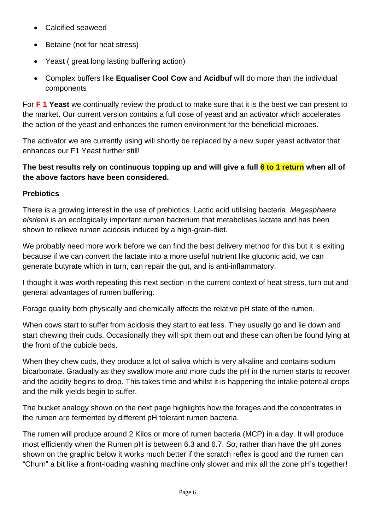- Calcified seaweed
- Betaine (not for heat stress)
- Yeast ( great long lasting buffering action)
- Complex buffers like **Equaliser Cool Cow** and **Acidbuf** will do more than the individual components

For **F 1 Yeast** we continually review the product to make sure that it is the best we can present to the market. Our current version contains a full dose of yeast and an activator which accelerates the action of the yeast and enhances the rumen environment for the beneficial microbes.

The activator we are currently using will shortly be replaced by a new super yeast activator that enhances our F1 Yeast further still!

#### **The best results rely on continuous topping up and will give a full 6 to 1 return when all of the above factors have been considered.**

#### **Prebiotics**

There is a growing interest in the use of prebiotics. Lactic acid utilising bacteria. *Megasphaera elsdenii* is an ecologically important rumen bacterium that metabolises lactate and has been shown to relieve rumen acidosis induced by a high-grain-diet.

We probably need more work before we can find the best delivery method for this but it is exiting because if we can convert the lactate into a more useful nutrient like gluconic acid, we can generate butyrate which in turn, can repair the gut, and is anti-inflammatory.

I thought it was worth repeating this next section in the current context of heat stress, turn out and general advantages of rumen buffering.

Forage quality both physically and chemically affects the relative pH state of the rumen.

When cows start to suffer from acidosis they start to eat less. They usually go and lie down and start chewing their cuds. Occasionally they will spit them out and these can often be found lying at the front of the cubicle beds.

When they chew cuds, they produce a lot of saliva which is very alkaline and contains sodium bicarbonate. Gradually as they swallow more and more cuds the pH in the rumen starts to recover and the acidity begins to drop. This takes time and whilst it is happening the intake potential drops and the milk yields begin to suffer.

The bucket analogy shown on the next page highlights how the forages and the concentrates in the rumen are fermented by different pH tolerant rumen bacteria.

The rumen will produce around 2 Kilos or more of rumen bacteria (MCP) in a day. It will produce most efficiently when the Rumen pH is between 6.3 and 6.7. So, rather than have the pH zones shown on the graphic below it works much better if the scratch reflex is good and the rumen can "Churn" a bit like a front-loading washing machine only slower and mix all the zone pH's together!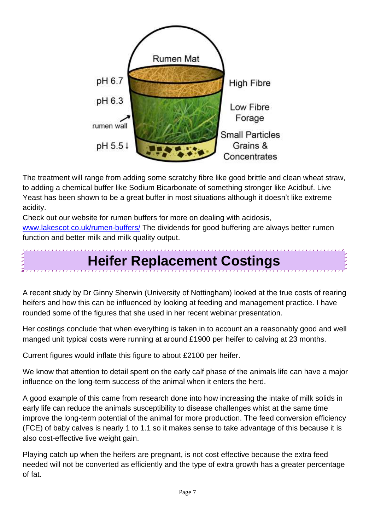

The treatment will range from adding some scratchy fibre like good brittle and clean wheat straw, to adding a chemical buffer like Sodium Bicarbonate of something stronger like Acidbuf. Live Yeast has been shown to be a great buffer in most situations although it doesn't like extreme acidity.

Check out our website for rumen buffers for more on dealing with acidosis, [www.lakescot.co.uk/rumen-buffers/](http://www.lakescot.co.uk/rumen-buffers/) The dividends for good buffering are always better rumen function and better milk and milk quality output.

## **Heifer Replacement Costings**

A recent study by Dr Ginny Sherwin (University of Nottingham) looked at the true costs of rearing heifers and how this can be influenced by looking at feeding and management practice. I have rounded some of the figures that she used in her recent webinar presentation.

Her costings conclude that when everything is taken in to account an a reasonably good and well manged unit typical costs were running at around £1900 per heifer to calving at 23 months.

Current figures would inflate this figure to about £2100 per heifer.

We know that attention to detail spent on the early calf phase of the animals life can have a major influence on the long-term success of the animal when it enters the herd.

A good example of this came from research done into how increasing the intake of milk solids in early life can reduce the animals susceptibility to disease challenges whist at the same time improve the long-term potential of the animal for more production. The feed conversion efficiency (FCE) of baby calves is nearly 1 to 1.1 so it makes sense to take advantage of this because it is also cost-effective live weight gain.

Playing catch up when the heifers are pregnant, is not cost effective because the extra feed needed will not be converted as efficiently and the type of extra growth has a greater percentage of fat.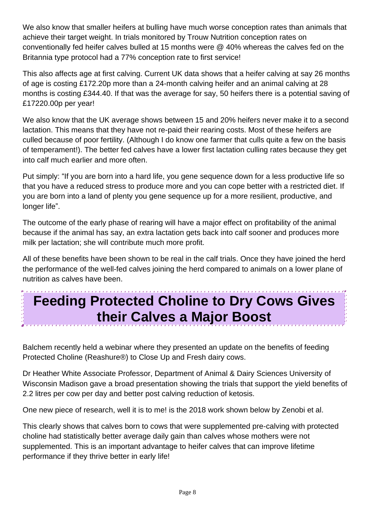We also know that smaller heifers at bulling have much worse conception rates than animals that achieve their target weight. In trials monitored by Trouw Nutrition conception rates on conventionally fed heifer calves bulled at 15 months were @ 40% whereas the calves fed on the Britannia type protocol had a 77% conception rate to first service!

This also affects age at first calving. Current UK data shows that a heifer calving at say 26 months of age is costing £172.20p more than a 24-month calving heifer and an animal calving at 28 months is costing £344.40. If that was the average for say, 50 heifers there is a potential saving of £17220.00p per year!

We also know that the UK average shows between 15 and 20% heifers never make it to a second lactation. This means that they have not re-paid their rearing costs. Most of these heifers are culled because of poor fertility. (Although I do know one farmer that culls quite a few on the basis of temperament!). The better fed calves have a lower first lactation culling rates because they get into calf much earlier and more often.

Put simply: "If you are born into a hard life, you gene sequence down for a less productive life so that you have a reduced stress to produce more and you can cope better with a restricted diet. If you are born into a land of plenty you gene sequence up for a more resilient, productive, and longer life".

The outcome of the early phase of rearing will have a major effect on profitability of the animal because if the animal has say, an extra lactation gets back into calf sooner and produces more milk per lactation; she will contribute much more profit.

All of these benefits have been shown to be real in the calf trials. Once they have joined the herd the performance of the well-fed calves joining the herd compared to animals on a lower plane of nutrition as calves have been.

## **Feeding Protected Choline to Dry Cows Gives their Calves a Major Boost**

Balchem recently held a webinar where they presented an update on the benefits of feeding Protected Choline (Reashure®) to Close Up and Fresh dairy cows.

Dr Heather White Associate Professor, Department of Animal & Dairy Sciences University of Wisconsin Madison gave a broad presentation showing the trials that support the yield benefits of 2.2 litres per cow per day and better post calving reduction of ketosis.

One new piece of research, well it is to me! is the 2018 work shown below by Zenobi et al.

This clearly shows that calves born to cows that were supplemented pre-calving with protected choline had statistically better average daily gain than calves whose mothers were not supplemented. This is an important advantage to heifer calves that can improve lifetime performance if they thrive better in early life!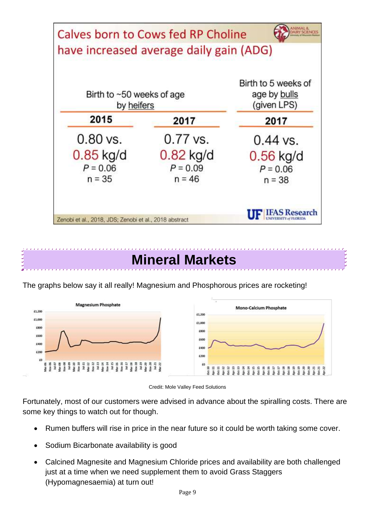![](_page_8_Figure_0.jpeg)

### **Mineral Markets**

![](_page_8_Figure_2.jpeg)

The graphs below say it all really! Magnesium and Phosphorous prices are rocketing!

Credit: Mole Valley Feed Solutions

Fortunately, most of our customers were advised in advance about the spiralling costs. There are some key things to watch out for though.

- Rumen buffers will rise in price in the near future so it could be worth taking some cover.
- Sodium Bicarbonate availability is good
- Calcined Magnesite and Magnesium Chloride prices and availability are both challenged just at a time when we need supplement them to avoid Grass Staggers (Hypomagnesaemia) at turn out!